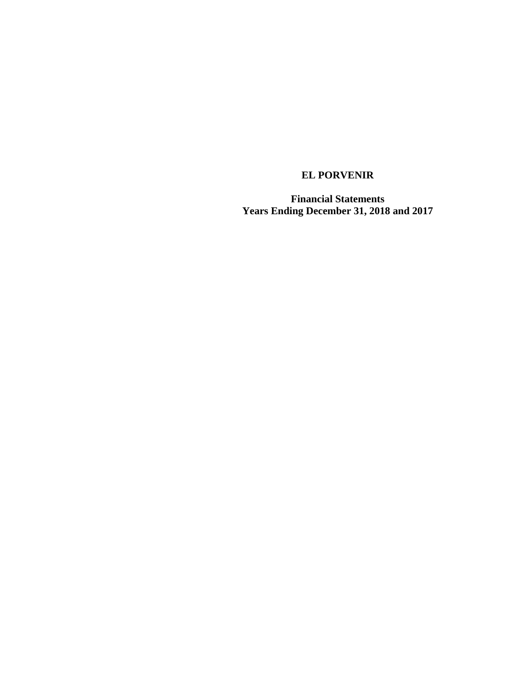**Financial Statements Years Ending December 31, 2018 and 2017**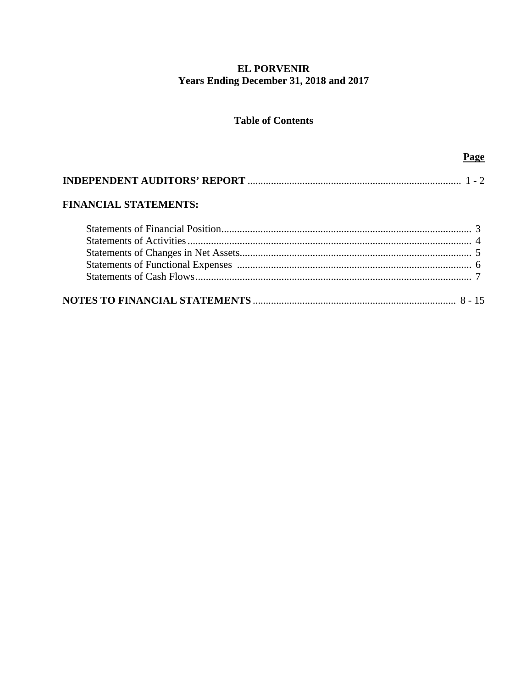# **EL PORVENIR** Years Ending December 31, 2018 and 2017

# **Table of Contents**

Page

| <b>FINANCIAL STATEMENTS:</b> |  |
|------------------------------|--|
|                              |  |
|                              |  |
|                              |  |
|                              |  |
|                              |  |
|                              |  |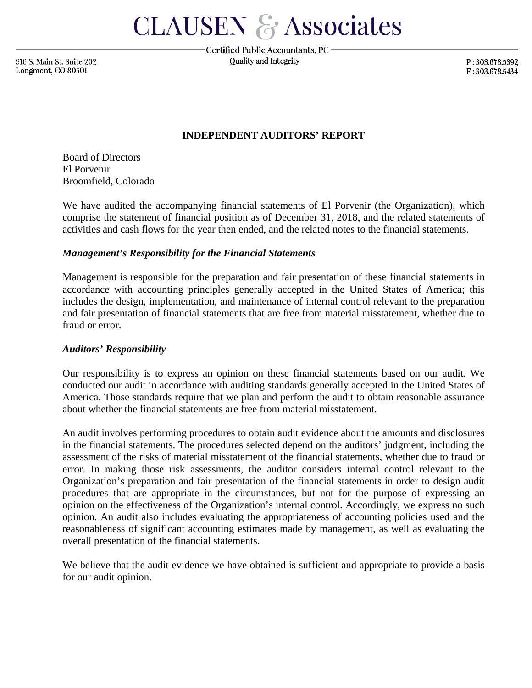**CLAUSEN & Associates** 

916 S. Main St. Suite 202 Longmont, CO 80501

Certified Public Accountants, PC-Quality and Integrity

P:303.678.5392 F:303.678.5434

## **INDEPENDENT AUDITORS' REPORT**

Board of Directors El Porvenir Broomfield, Colorado

We have audited the accompanying financial statements of El Porvenir (the Organization), which comprise the statement of financial position as of December 31, 2018, and the related statements of activities and cash flows for the year then ended, and the related notes to the financial statements.

## *Management's Responsibility for the Financial Statements*

Management is responsible for the preparation and fair presentation of these financial statements in accordance with accounting principles generally accepted in the United States of America; this includes the design, implementation, and maintenance of internal control relevant to the preparation and fair presentation of financial statements that are free from material misstatement, whether due to fraud or error.

## *Auditors' Responsibility*

Our responsibility is to express an opinion on these financial statements based on our audit. We conducted our audit in accordance with auditing standards generally accepted in the United States of America. Those standards require that we plan and perform the audit to obtain reasonable assurance about whether the financial statements are free from material misstatement.

An audit involves performing procedures to obtain audit evidence about the amounts and disclosures in the financial statements. The procedures selected depend on the auditors' judgment, including the assessment of the risks of material misstatement of the financial statements, whether due to fraud or error. In making those risk assessments, the auditor considers internal control relevant to the Organization's preparation and fair presentation of the financial statements in order to design audit procedures that are appropriate in the circumstances, but not for the purpose of expressing an opinion on the effectiveness of the Organization's internal control. Accordingly, we express no such opinion. An audit also includes evaluating the appropriateness of accounting policies used and the reasonableness of significant accounting estimates made by management, as well as evaluating the overall presentation of the financial statements.

We believe that the audit evidence we have obtained is sufficient and appropriate to provide a basis for our audit opinion.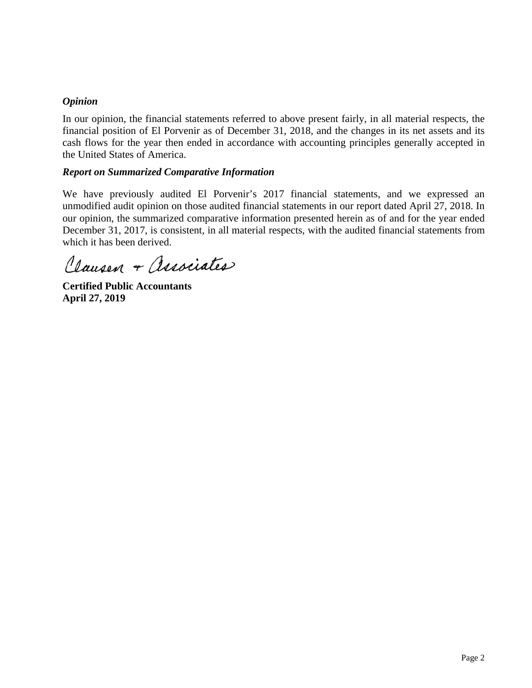# *Opinion*

In our opinion, the financial statements referred to above present fairly, in all material respects, the financial position of El Porvenir as of December 31, 2018, and the changes in its net assets and its cash flows for the year then ended in accordance with accounting principles generally accepted in the United States of America.

## *Report on Summarized Comparative Information*

We have previously audited El Porvenir's 2017 financial statements, and we expressed an unmodified audit opinion on those audited financial statements in our report dated April 27, 2018. In our opinion, the summarized comparative information presented herein as of and for the year ended December 31, 2017, is consistent, in all material respects, with the audited financial statements from which it has been derived.

Clausen + Associates

**Certified Public Accountants April 27, 2019**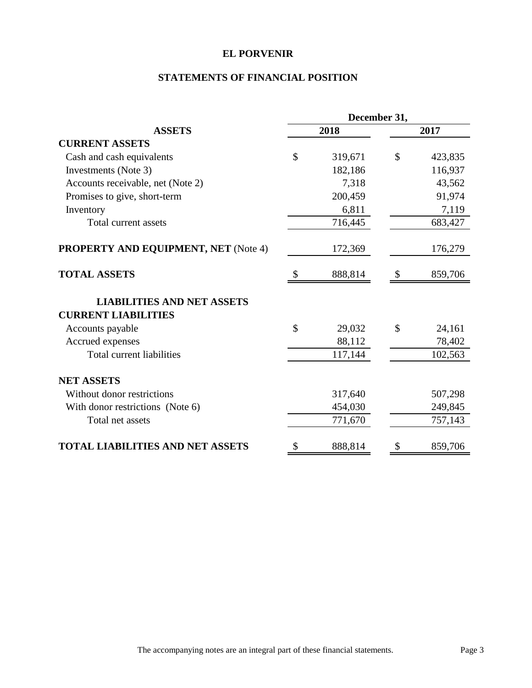# **STATEMENTS OF FINANCIAL POSITION**

|                                                                 |              | December 31, |               |         |  |  |
|-----------------------------------------------------------------|--------------|--------------|---------------|---------|--|--|
| <b>ASSETS</b>                                                   |              | 2018         |               | 2017    |  |  |
| <b>CURRENT ASSETS</b>                                           |              |              |               |         |  |  |
| Cash and cash equivalents                                       | $\mathbb{S}$ | 319,671      | \$            | 423,835 |  |  |
| Investments (Note 3)                                            |              | 182,186      |               | 116,937 |  |  |
| Accounts receivable, net (Note 2)                               |              | 7,318        |               | 43,562  |  |  |
| Promises to give, short-term                                    |              | 200,459      |               | 91,974  |  |  |
| Inventory                                                       |              | 6,811        |               | 7,119   |  |  |
| Total current assets                                            |              | 716,445      |               | 683,427 |  |  |
| <b>PROPERTY AND EQUIPMENT, NET (Note 4)</b>                     |              | 172,369      |               | 176,279 |  |  |
| <b>TOTAL ASSETS</b>                                             |              | 888,814      |               | 859,706 |  |  |
| <b>LIABILITIES AND NET ASSETS</b><br><b>CURRENT LIABILITIES</b> |              |              |               |         |  |  |
| Accounts payable                                                | $\mathbb{S}$ | 29,032       | $\mathcal{S}$ | 24,161  |  |  |
| Accrued expenses                                                |              | 88,112       |               | 78,402  |  |  |
| Total current liabilities                                       |              | 117,144      |               | 102,563 |  |  |
| <b>NET ASSETS</b>                                               |              |              |               |         |  |  |
| Without donor restrictions                                      |              | 317,640      |               | 507,298 |  |  |
| With donor restrictions (Note 6)                                |              | 454,030      |               | 249,845 |  |  |
| Total net assets                                                |              | 771,670      |               | 757,143 |  |  |
| <b>TOTAL LIABILITIES AND NET ASSETS</b>                         | \$           | 888,814      | S             | 859,706 |  |  |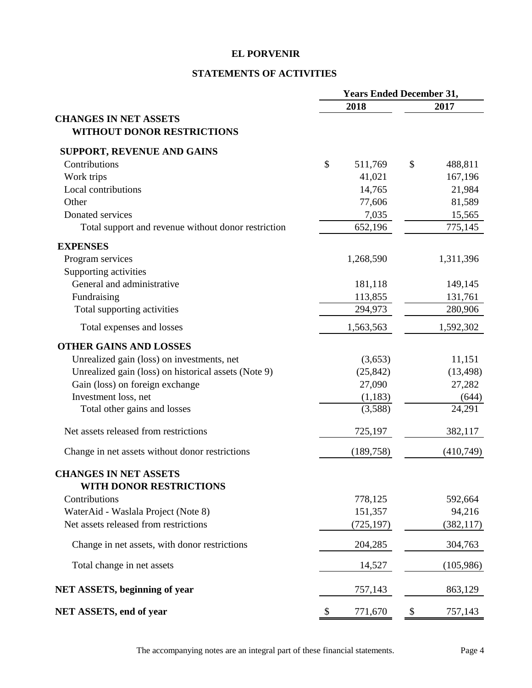# **STATEMENTS OF ACTIVITIES**

|                                                      | <b>Years Ended December 31,</b> |               |
|------------------------------------------------------|---------------------------------|---------------|
|                                                      | 2018                            | 2017          |
| <b>CHANGES IN NET ASSETS</b>                         |                                 |               |
| <b>WITHOUT DONOR RESTRICTIONS</b>                    |                                 |               |
| <b>SUPPORT, REVENUE AND GAINS</b>                    |                                 |               |
| Contributions                                        | \$<br>511,769                   | \$<br>488,811 |
| Work trips                                           | 41,021                          | 167,196       |
| Local contributions                                  | 14,765                          | 21,984        |
| Other                                                | 77,606                          | 81,589        |
| Donated services                                     | 7,035                           | 15,565        |
| Total support and revenue without donor restriction  | 652,196                         | 775,145       |
| <b>EXPENSES</b>                                      |                                 |               |
| Program services                                     | 1,268,590                       | 1,311,396     |
| Supporting activities                                |                                 |               |
| General and administrative                           | 181,118                         | 149,145       |
| Fundraising                                          | 113,855                         | 131,761       |
| Total supporting activities                          | 294,973                         | 280,906       |
| Total expenses and losses                            | 1,563,563                       | 1,592,302     |
| <b>OTHER GAINS AND LOSSES</b>                        |                                 |               |
| Unrealized gain (loss) on investments, net           | (3,653)                         | 11,151        |
| Unrealized gain (loss) on historical assets (Note 9) | (25, 842)                       | (13, 498)     |
| Gain (loss) on foreign exchange                      | 27,090                          | 27,282        |
| Investment loss, net                                 | (1,183)                         | (644)         |
| Total other gains and losses                         | (3,588)                         | 24,291        |
| Net assets released from restrictions                | 725,197                         | 382,117       |
| Change in net assets without donor restrictions      | (189, 758)                      | (410,749)     |
| <b>CHANGES IN NET ASSETS</b>                         |                                 |               |
| WITH DONOR RESTRICTIONS                              |                                 |               |
| Contributions                                        | 778,125                         | 592,664       |
| WaterAid - Waslala Project (Note 8)                  | 151,357                         | 94,216        |
| Net assets released from restrictions                | (725, 197)                      | (382, 117)    |
| Change in net assets, with donor restrictions        | 204,285                         | 304,763       |
| Total change in net assets                           | 14,527                          | (105,986)     |
| <b>NET ASSETS, beginning of year</b>                 | 757,143                         | 863,129       |
| NET ASSETS, end of year                              | \$<br>771,670                   | \$<br>757,143 |

The accompanying notes are an integral part of these financial statements. Page 4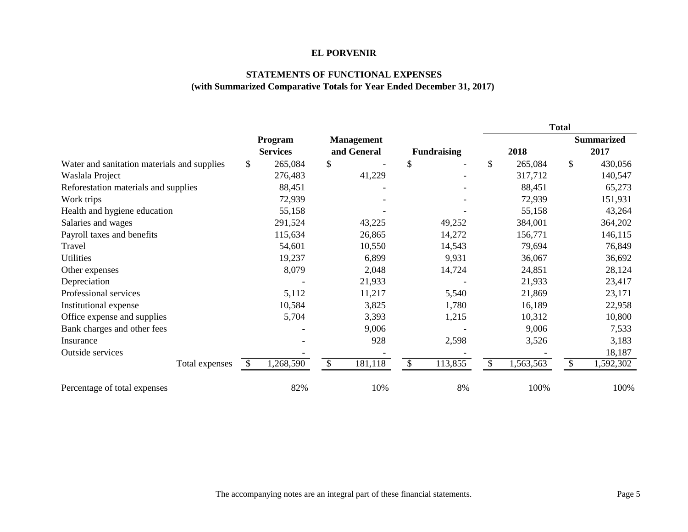#### **STATEMENTS OF FUNCTIONAL EXPENSES (with Summarized Comparative Totals for Year Ended December 31, 2017)**

|                                             |                            |         |     |                                  |              |                    |               |           | Total         |                           |
|---------------------------------------------|----------------------------|---------|-----|----------------------------------|--------------|--------------------|---------------|-----------|---------------|---------------------------|
|                                             | Program<br><b>Services</b> |         |     | <b>Management</b><br>and General |              | <b>Fundraising</b> |               | 2018      |               | <b>Summarized</b><br>2017 |
| Water and sanitation materials and supplies | $\mathbb{S}$               | 265,084 | \$  |                                  | $\mathbb{S}$ |                    | $\mathcal{S}$ | 265,084   | $\mathcal{S}$ | 430,056                   |
| Waslala Project                             |                            | 276,483 |     | 41,229                           |              |                    |               | 317,712   |               | 140,547                   |
| Reforestation materials and supplies        |                            | 88,451  |     |                                  |              |                    |               | 88,451    |               | 65,273                    |
| Work trips                                  |                            | 72,939  |     |                                  |              |                    |               | 72,939    |               | 151,931                   |
| Health and hygiene education                |                            | 55,158  |     |                                  |              |                    |               | 55,158    |               | 43,264                    |
| Salaries and wages                          |                            | 291,524 |     | 43,225                           |              | 49,252             |               | 384,001   |               | 364,202                   |
| Payroll taxes and benefits                  |                            | 115,634 |     | 26,865                           |              | 14,272             |               | 156,771   |               | 146,115                   |
| Travel                                      |                            | 54,601  |     | 10,550                           |              | 14,543             |               | 79,694    |               | 76,849                    |
| Utilities                                   |                            | 19,237  |     | 6,899                            |              | 9,931              |               | 36,067    |               | 36,692                    |
| Other expenses                              |                            | 8,079   |     | 2,048                            |              | 14,724             |               | 24,851    |               | 28,124                    |
| Depreciation                                |                            |         |     | 21,933                           |              |                    |               | 21,933    |               | 23,417                    |
| Professional services                       |                            | 5,112   |     | 11,217                           |              | 5,540              |               | 21,869    |               | 23,171                    |
| Institutional expense                       |                            | 10,584  |     | 3,825                            |              | 1,780              |               | 16,189    |               | 22,958                    |
| Office expense and supplies                 |                            | 5,704   |     | 3,393                            |              | 1,215              |               | 10,312    |               | 10,800                    |
| Bank charges and other fees                 |                            |         |     | 9,006                            |              |                    |               | 9,006     |               | 7,533                     |
| Insurance                                   |                            |         |     | 928                              |              | 2,598              |               | 3,526     |               | 3,183                     |
| Outside services                            |                            |         |     |                                  |              |                    |               |           |               | 18,187                    |
| Total expenses                              | 1,268,590<br><sup>S</sup>  |         | \$. | 181,118                          | \$           | 113,855            | \$            | 1,563,563 | $\mathbb{S}$  | 1,592,302                 |
| Percentage of total expenses                |                            | 82%     |     | 10%                              |              | 8%                 |               | 100%      |               | 100%                      |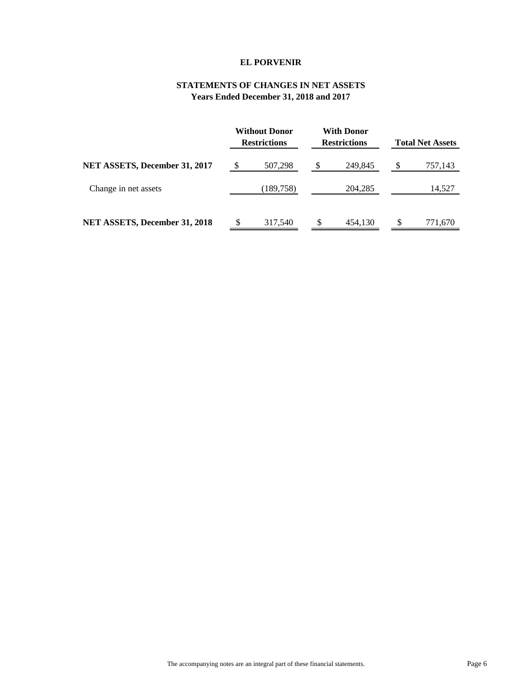## **STATEMENTS OF CHANGES IN NET ASSETS Years Ended December 31, 2018 and 2017**

|                               | Without Donor<br><b>Restrictions</b> | With Donor<br><b>Restrictions</b> | <b>Total Net Assets</b> |
|-------------------------------|--------------------------------------|-----------------------------------|-------------------------|
| NET ASSETS, December 31, 2017 | \$<br>507,298                        | \$<br>249,845                     | \$<br>757,143           |
| Change in net assets          | (189, 758)                           | 204,285                           | 14,527                  |
| NET ASSETS, December 31, 2018 | 317,540                              | 454,130                           | 771,670                 |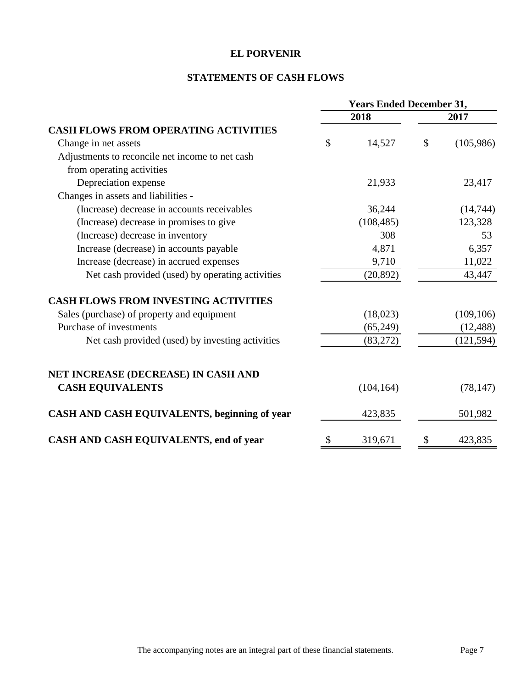# **STATEMENTS OF CASH FLOWS**

|                                                  | <b>Years Ended December 31,</b> |            |      |            |  |
|--------------------------------------------------|---------------------------------|------------|------|------------|--|
|                                                  |                                 | 2018       | 2017 |            |  |
| <b>CASH FLOWS FROM OPERATING ACTIVITIES</b>      |                                 |            |      |            |  |
| Change in net assets                             | $\mathcal{S}$                   | 14,527     | \$   | (105,986)  |  |
| Adjustments to reconcile net income to net cash  |                                 |            |      |            |  |
| from operating activities                        |                                 |            |      |            |  |
| Depreciation expense                             |                                 | 21,933     |      | 23,417     |  |
| Changes in assets and liabilities -              |                                 |            |      |            |  |
| (Increase) decrease in accounts receivables      |                                 | 36,244     |      | (14,744)   |  |
| (Increase) decrease in promises to give          |                                 | (108, 485) |      | 123,328    |  |
| (Increase) decrease in inventory                 |                                 | 308        |      | 53         |  |
| Increase (decrease) in accounts payable          |                                 | 4,871      |      | 6,357      |  |
| Increase (decrease) in accrued expenses          |                                 | 9,710      |      | 11,022     |  |
| Net cash provided (used) by operating activities |                                 | (20, 892)  |      | 43,447     |  |
| <b>CASH FLOWS FROM INVESTING ACTIVITIES</b>      |                                 |            |      |            |  |
| Sales (purchase) of property and equipment       |                                 | (18,023)   |      | (109, 106) |  |
| Purchase of investments                          |                                 | (65,249)   |      | (12, 488)  |  |
| Net cash provided (used) by investing activities |                                 | (83,272)   |      | (121, 594) |  |
| NET INCREASE (DECREASE) IN CASH AND              |                                 |            |      |            |  |
| <b>CASH EQUIVALENTS</b>                          |                                 | (104, 164) |      | (78, 147)  |  |
| CASH AND CASH EQUIVALENTS, beginning of year     |                                 | 423,835    |      | 501,982    |  |
| CASH AND CASH EQUIVALENTS, end of year           | \$                              | 319,671    | \$   | 423,835    |  |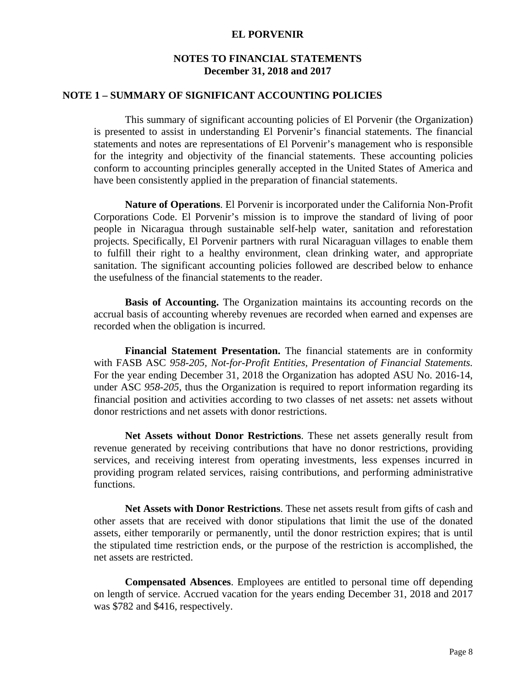## **NOTES TO FINANCIAL STATEMENTS December 31, 2018 and 2017**

### **NOTE 1 – SUMMARY OF SIGNIFICANT ACCOUNTING POLICIES**

This summary of significant accounting policies of El Porvenir (the Organization) is presented to assist in understanding El Porvenir's financial statements. The financial statements and notes are representations of El Porvenir's management who is responsible for the integrity and objectivity of the financial statements. These accounting policies conform to accounting principles generally accepted in the United States of America and have been consistently applied in the preparation of financial statements.

**Nature of Operations**. El Porvenir is incorporated under the California Non-Profit Corporations Code. El Porvenir's mission is to improve the standard of living of poor people in Nicaragua through sustainable self-help water, sanitation and reforestation projects. Specifically, El Porvenir partners with rural Nicaraguan villages to enable them to fulfill their right to a healthy environment, clean drinking water, and appropriate sanitation. The significant accounting policies followed are described below to enhance the usefulness of the financial statements to the reader.

 **Basis of Accounting.** The Organization maintains its accounting records on the accrual basis of accounting whereby revenues are recorded when earned and expenses are recorded when the obligation is incurred.

 **Financial Statement Presentation.** The financial statements are in conformity with FASB ASC *958-205, Not-for-Profit Entities, Presentation of Financial Statements.*  For the year ending December 31, 2018 the Organization has adopted ASU No. 2016-14, under ASC *958-205*, thus the Organization is required to report information regarding its financial position and activities according to two classes of net assets: net assets without donor restrictions and net assets with donor restrictions.

 **Net Assets without Donor Restrictions**. These net assets generally result from revenue generated by receiving contributions that have no donor restrictions, providing services, and receiving interest from operating investments, less expenses incurred in providing program related services, raising contributions, and performing administrative functions.

 **Net Assets with Donor Restrictions**. These net assets result from gifts of cash and other assets that are received with donor stipulations that limit the use of the donated assets, either temporarily or permanently, until the donor restriction expires; that is until the stipulated time restriction ends, or the purpose of the restriction is accomplished, the net assets are restricted.

**Compensated Absences**. Employees are entitled to personal time off depending on length of service. Accrued vacation for the years ending December 31, 2018 and 2017 was \$782 and \$416, respectively.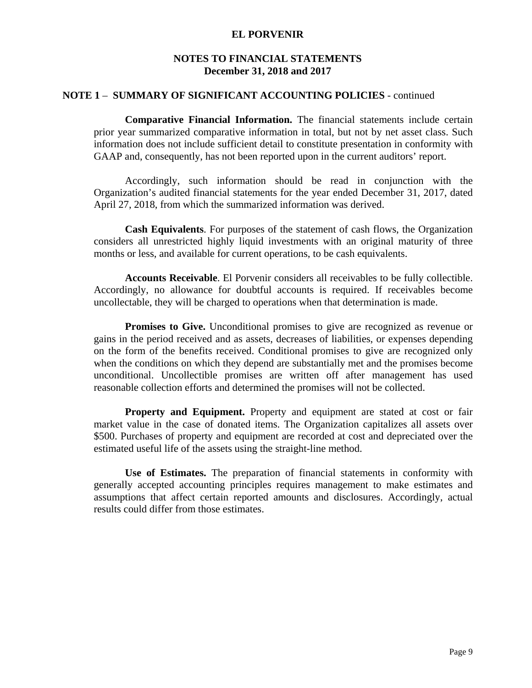## **NOTES TO FINANCIAL STATEMENTS December 31, 2018 and 2017**

### **NOTE 1** – **SUMMARY OF SIGNIFICANT ACCOUNTING POLICIES** - continued

**Comparative Financial Information.** The financial statements include certain prior year summarized comparative information in total, but not by net asset class. Such information does not include sufficient detail to constitute presentation in conformity with GAAP and, consequently, has not been reported upon in the current auditors' report.

Accordingly, such information should be read in conjunction with the Organization's audited financial statements for the year ended December 31, 2017, dated April 27, 2018, from which the summarized information was derived.

**Cash Equivalents**. For purposes of the statement of cash flows, the Organization considers all unrestricted highly liquid investments with an original maturity of three months or less, and available for current operations, to be cash equivalents.

 **Accounts Receivable**. El Porvenir considers all receivables to be fully collectible. Accordingly, no allowance for doubtful accounts is required. If receivables become uncollectable, they will be charged to operations when that determination is made.

**Promises to Give.** Unconditional promises to give are recognized as revenue or gains in the period received and as assets, decreases of liabilities, or expenses depending on the form of the benefits received. Conditional promises to give are recognized only when the conditions on which they depend are substantially met and the promises become unconditional. Uncollectible promises are written off after management has used reasonable collection efforts and determined the promises will not be collected.

**Property and Equipment.** Property and equipment are stated at cost or fair market value in the case of donated items. The Organization capitalizes all assets over \$500. Purchases of property and equipment are recorded at cost and depreciated over the estimated useful life of the assets using the straight-line method.

**Use of Estimates.** The preparation of financial statements in conformity with generally accepted accounting principles requires management to make estimates and assumptions that affect certain reported amounts and disclosures. Accordingly, actual results could differ from those estimates.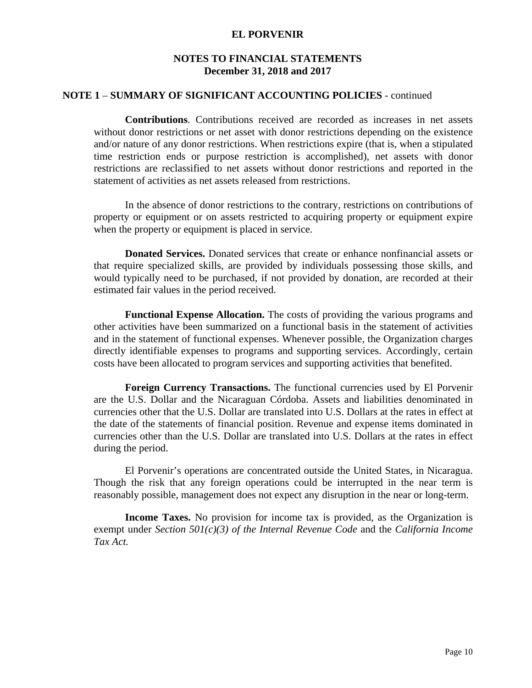# **NOTES TO FINANCIAL STATEMENTS December 31, 2018 and 2017**

### **NOTE 1** – **SUMMARY OF SIGNIFICANT ACCOUNTING POLICIES** - continued

**Contributions**. Contributions received are recorded as increases in net assets without donor restrictions or net asset with donor restrictions depending on the existence and/or nature of any donor restrictions. When restrictions expire (that is, when a stipulated time restriction ends or purpose restriction is accomplished), net assets with donor restrictions are reclassified to net assets without donor restrictions and reported in the statement of activities as net assets released from restrictions.

In the absence of donor restrictions to the contrary, restrictions on contributions of property or equipment or on assets restricted to acquiring property or equipment expire when the property or equipment is placed in service.

 **Donated Services.** Donated services that create or enhance nonfinancial assets or that require specialized skills, are provided by individuals possessing those skills, and would typically need to be purchased, if not provided by donation, are recorded at their estimated fair values in the period received.

 **Functional Expense Allocation.** The costs of providing the various programs and other activities have been summarized on a functional basis in the statement of activities and in the statement of functional expenses. Whenever possible, the Organization charges directly identifiable expenses to programs and supporting services. Accordingly, certain costs have been allocated to program services and supporting activities that benefited.

 **Foreign Currency Transactions.** The functional currencies used by El Porvenir are the U.S. Dollar and the Nicaraguan Córdoba. Assets and liabilities denominated in currencies other that the U.S. Dollar are translated into U.S. Dollars at the rates in effect at the date of the statements of financial position. Revenue and expense items dominated in currencies other than the U.S. Dollar are translated into U.S. Dollars at the rates in effect during the period.

 El Porvenir's operations are concentrated outside the United States, in Nicaragua. Though the risk that any foreign operations could be interrupted in the near term is reasonably possible, management does not expect any disruption in the near or long-term.

**Income Taxes.** No provision for income tax is provided, as the Organization is exempt under *Section 501(c)(3) of the Internal Revenue Code* and the *California Income Tax Act.*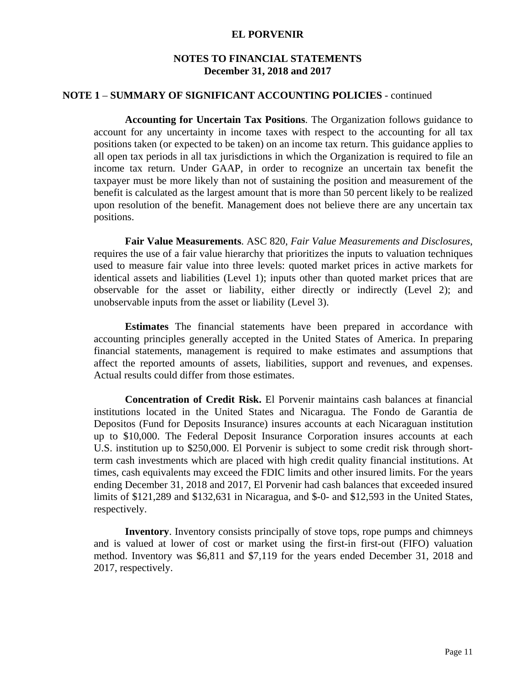## **NOTES TO FINANCIAL STATEMENTS December 31, 2018 and 2017**

### **NOTE 1** – **SUMMARY OF SIGNIFICANT ACCOUNTING POLICIES** - continued

**Accounting for Uncertain Tax Positions**. The Organization follows guidance to account for any uncertainty in income taxes with respect to the accounting for all tax positions taken (or expected to be taken) on an income tax return. This guidance applies to all open tax periods in all tax jurisdictions in which the Organization is required to file an income tax return. Under GAAP, in order to recognize an uncertain tax benefit the taxpayer must be more likely than not of sustaining the position and measurement of the benefit is calculated as the largest amount that is more than 50 percent likely to be realized upon resolution of the benefit. Management does not believe there are any uncertain tax positions.

**Fair Value Measurements**. ASC 820, *Fair Value Measurements and Disclosures*, requires the use of a fair value hierarchy that prioritizes the inputs to valuation techniques used to measure fair value into three levels: quoted market prices in active markets for identical assets and liabilities (Level 1); inputs other than quoted market prices that are observable for the asset or liability, either directly or indirectly (Level 2); and unobservable inputs from the asset or liability (Level 3).

**Estimates** The financial statements have been prepared in accordance with accounting principles generally accepted in the United States of America. In preparing financial statements, management is required to make estimates and assumptions that affect the reported amounts of assets, liabilities, support and revenues, and expenses. Actual results could differ from those estimates.

 **Concentration of Credit Risk.** El Porvenir maintains cash balances at financial institutions located in the United States and Nicaragua. The Fondo de Garantia de Depositos (Fund for Deposits Insurance) insures accounts at each Nicaraguan institution up to \$10,000. The Federal Deposit Insurance Corporation insures accounts at each U.S. institution up to \$250,000. El Porvenir is subject to some credit risk through shortterm cash investments which are placed with high credit quality financial institutions. At times, cash equivalents may exceed the FDIC limits and other insured limits. For the years ending December 31, 2018 and 2017, El Porvenir had cash balances that exceeded insured limits of \$121,289 and \$132,631 in Nicaragua, and \$-0- and \$12,593 in the United States, respectively.

**Inventory**. Inventory consists principally of stove tops, rope pumps and chimneys and is valued at lower of cost or market using the first-in first-out (FIFO) valuation method. Inventory was \$6,811 and \$7,119 for the years ended December 31, 2018 and 2017, respectively.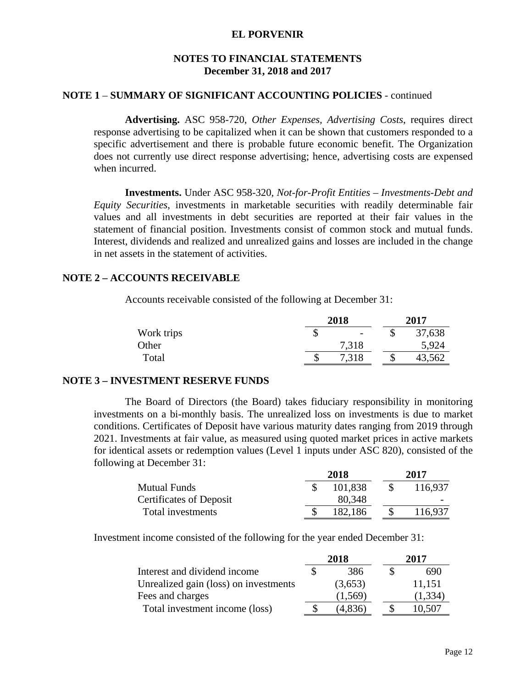## **NOTES TO FINANCIAL STATEMENTS December 31, 2018 and 2017**

### **NOTE 1** – **SUMMARY OF SIGNIFICANT ACCOUNTING POLICIES** - continued

**Advertising.** ASC 958-720, *Other Expenses, Advertising Costs*, requires direct response advertising to be capitalized when it can be shown that customers responded to a specific advertisement and there is probable future economic benefit. The Organization does not currently use direct response advertising; hence, advertising costs are expensed when incurred.

**Investments.** Under ASC 958-320, *Not-for-Profit Entities – Investments-Debt and Equity Securities*, investments in marketable securities with readily determinable fair values and all investments in debt securities are reported at their fair values in the statement of financial position. Investments consist of common stock and mutual funds. Interest, dividends and realized and unrealized gains and losses are included in the change in net assets in the statement of activities.

#### **NOTE 2 – ACCOUNTS RECEIVABLE**

Accounts receivable consisted of the following at December 31:

|            |   | 2018                     |    | 2017   |
|------------|---|--------------------------|----|--------|
| Work trips | ╜ | $\overline{\phantom{0}}$ | ◡  | 37,638 |
| Other      |   | 7,318                    |    | 5,924  |
| Total      |   | 7,318                    | κĐ | 43,562 |

## **NOTE 3 – INVESTMENT RESERVE FUNDS**

The Board of Directors (the Board) takes fiduciary responsibility in monitoring investments on a bi-monthly basis. The unrealized loss on investments is due to market conditions. Certificates of Deposit have various maturity dates ranging from 2019 through 2021. Investments at fair value, as measured using quoted market prices in active markets for identical assets or redemption values (Level 1 inputs under ASC 820), consisted of the following at December 31:

|                                | 2018    | 2017 |                          |  |
|--------------------------------|---------|------|--------------------------|--|
| <b>Mutual Funds</b>            | 101.838 |      | 116.937                  |  |
| <b>Certificates of Deposit</b> | 80,348  |      | $\overline{\phantom{0}}$ |  |
| Total investments              | 182.186 |      | 116.937                  |  |

Investment income consisted of the following for the year ended December 31:

|                                       |   | 2018    | 2017     |
|---------------------------------------|---|---------|----------|
| Interest and dividend income          |   | 386     | 690      |
| Unrealized gain (loss) on investments |   | (3,653) | 11,151   |
| Fees and charges                      |   | (1,569) | (1, 334) |
| Total investment income (loss)        | S | (4,836) | 10.507   |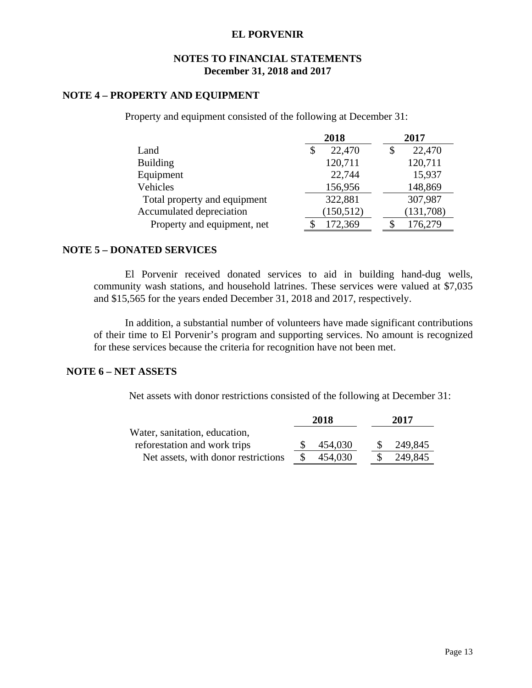## **NOTES TO FINANCIAL STATEMENTS December 31, 2018 and 2017**

## **NOTE 4 – PROPERTY AND EQUIPMENT**

Property and equipment consisted of the following at December 31:

|                              | 2018         | 2017         |
|------------------------------|--------------|--------------|
| Land                         | 22,470<br>\$ | 22,470<br>\$ |
| <b>Building</b>              | 120,711      | 120,711      |
| Equipment                    | 22,744       | 15,937       |
| Vehicles                     | 156,956      | 148,869      |
| Total property and equipment | 322,881      | 307,987      |
| Accumulated depreciation     | (150, 512)   | (131,708)    |
| Property and equipment, net  | 172,369      | 176,279      |

### **NOTE 5 – DONATED SERVICES**

El Porvenir received donated services to aid in building hand-dug wells, community wash stations, and household latrines. These services were valued at \$7,035 and \$15,565 for the years ended December 31, 2018 and 2017, respectively.

In addition, a substantial number of volunteers have made significant contributions of their time to El Porvenir's program and supporting services. No amount is recognized for these services because the criteria for recognition have not been met.

## **NOTE 6 – NET ASSETS**

Net assets with donor restrictions consisted of the following at December 31:

|                                     | 2018    |  | 2017    |
|-------------------------------------|---------|--|---------|
| Water, sanitation, education,       |         |  |         |
| reforestation and work trips        | 454,030 |  | 249,845 |
| Net assets, with donor restrictions | 454,030 |  | 249,845 |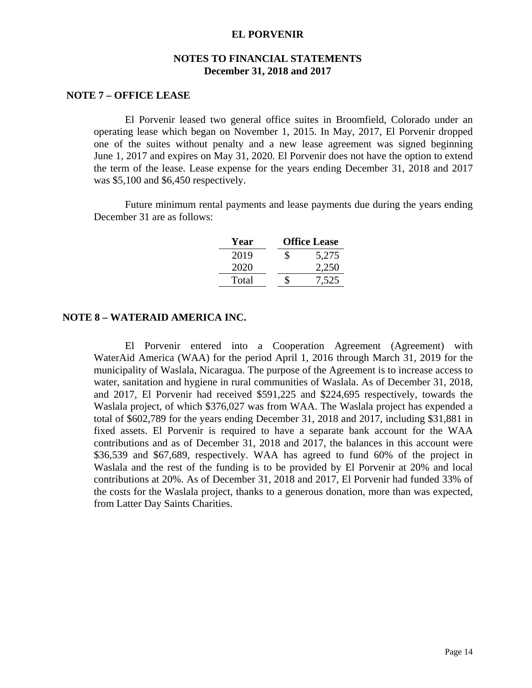## **NOTES TO FINANCIAL STATEMENTS December 31, 2018 and 2017**

### **NOTE 7 – OFFICE LEASE**

El Porvenir leased two general office suites in Broomfield, Colorado under an operating lease which began on November 1, 2015. In May, 2017, El Porvenir dropped one of the suites without penalty and a new lease agreement was signed beginning June 1, 2017 and expires on May 31, 2020. El Porvenir does not have the option to extend the term of the lease. Lease expense for the years ending December 31, 2018 and 2017 was \$5,100 and \$6,450 respectively.

Future minimum rental payments and lease payments due during the years ending December 31 are as follows:

| Year  |   | <b>Office Lease</b> |
|-------|---|---------------------|
| 2019  | S | 5,275               |
| 2020  |   | 2,250               |
| Total |   | 7,525               |

#### **NOTE 8 – WATERAID AMERICA INC.**

El Porvenir entered into a Cooperation Agreement (Agreement) with WaterAid America (WAA) for the period April 1, 2016 through March 31, 2019 for the municipality of Waslala, Nicaragua. The purpose of the Agreement is to increase access to water, sanitation and hygiene in rural communities of Waslala. As of December 31, 2018, and 2017, El Porvenir had received \$591,225 and \$224,695 respectively, towards the Waslala project, of which \$376,027 was from WAA. The Waslala project has expended a total of \$602,789 for the years ending December 31, 2018 and 2017, including \$31,881 in fixed assets. El Porvenir is required to have a separate bank account for the WAA contributions and as of December 31, 2018 and 2017, the balances in this account were \$36,539 and \$67,689, respectively. WAA has agreed to fund 60% of the project in Waslala and the rest of the funding is to be provided by El Porvenir at 20% and local contributions at 20%. As of December 31, 2018 and 2017, El Porvenir had funded 33% of the costs for the Waslala project, thanks to a generous donation, more than was expected, from Latter Day Saints Charities.